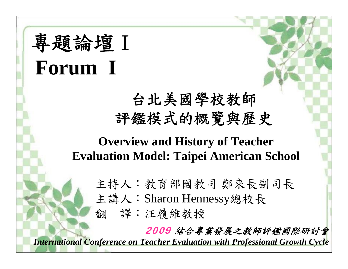# 專題論壇Ⅰ **Forum I**

## 台北美國學校教師 評鑑模式的概覽與歷史

### **Overview and History of Teacher Evaluation Model: Taipei American School**

- 主持人:教育部國教司 鄭來長副司長
- 主講人:Sharon Hennessy總校長

翻 譯:汪履維教授

2009 結合專業發展之教師評鑑國際研討會

*International Conference on Teacher Evaluation with Professional Growth Cycle*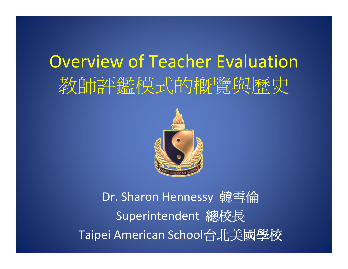# Overview of Teacher Evaluation 教師評鑑模式的概覽與歷史



Dr. Sharon Hennessy 韓雪倫 Superintendent 總校長 Taipei American School台北美國學校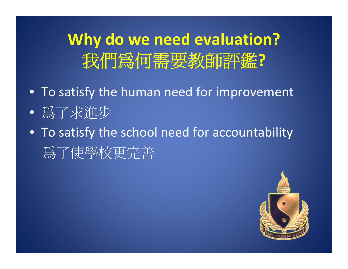**Why do we need evaluation?** 我們為何需要教師評鑑**?**

- To satisfy the human need for improvement
- 爲了求進步
- To satisfy the school need for accountability 爲了使學校更完善

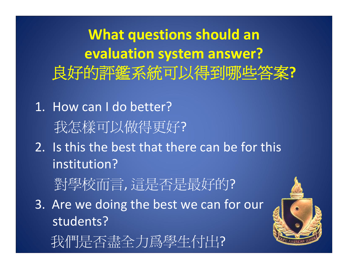**What questions should an evaluation system answer?** 良好的評鑑系統可以得到哪些答案**?**

- 1. How can I do better? 我怎樣可以做得更好?
- 2. Is this the best that there can be for this institution?

對學校而言, 這是否是最好的?

3. Are we doing the best we can for our students?

我們是否盡全力爲學生付出?

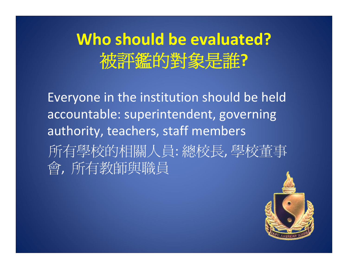## **Who should be evaluated?** 被評鑑的對象是誰**?**

Everyone in the institution should be held accountable: superintendent, governing authority, teachers, staff members 所有學校的相關人員: 總校長, 學校董事 會, 所有教師與職員

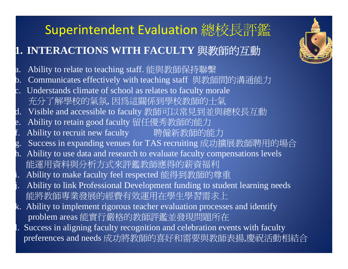### Superintendent Evaluation 總校長評鑑

### **1. INTERACTIONS WITH FACULTY** 與教師的互動

- a. Ability to relate to teaching staff. 能與教師保持聯繫
- b. Communicates effectively with teaching staff 與教師間的溝通能力
- c. Understands climate of school as relates to faculty morale 充分了解學校的氣氛, 因為這關係到學校教師的士氣
- d. Visible and accessible to faculty 教師可以常見到並與總校長互動
- e. Ability to retain good faculty 留任優秀教師的能力
- f. Ability to recruit new faculty 聘僱新教師的能力
- g. Success in expanding venues for TAS recruiting 成功擴展教師聘用的場合
- h. Ability to use data and research to evaluate faculty compensations levels 能運用資料與分析方式來評鑑教師應得的薪資福利
- i. Ability to make faculty feel respected 能得到教師的尊重
- Ability to link Professional Development funding to student learning needs 能將教師專業發展的經費有效運用在學生學習需求上
- k. Ability to implement rigorous teacher evaluation processes and identify problem areas 能實行嚴格的教師評鑑並發現問題所在
- Success in aligning faculty recognition and celebration events with faculty preferences and needs 成功將教師的喜好和需要與教師表揚,慶祝活動相結合

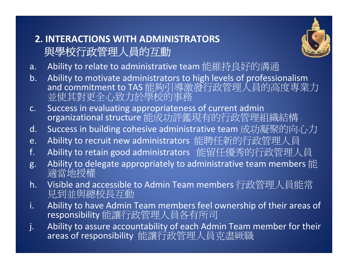#### **2. INTERACTIONS WITH ADMINISTRATORS** 與學校行政管理人員的互動



- a.Ability to relate to administrative team 能維持良好的溝通
- b. Ability to motivate administrators to high levels of professionalism and commitment to TAS 能夠引導激發行政管理人員的高度專業力 並使其對更全心致力於學校的事務
- c. Success in evaluating appropriateness of current admin organizational structure 能成功評鑑現有的行政管理組織結構
- d.Success in building cohesive administrative team 成功凝聚的向心力
- e.Ability to recruit new administrators 能聘任新的行政管理人員
- f.Ability to retain good administrators 能留任優秀的行政管理人員
- g. Ability to delegate appropriately to administrative team members 能 適當地授權
- h.. Visible and accessible to Admin Team members 行政管理人員能常<br>- 見到並與總校長互動
- i. Ability to have Admin Team members feel ownership of their areas of responsibility 能讓行政管理人員各有所司
- j. Ability to assure accountability of each Admin Team member for their areas of responsibility 能讓行政管理人員克盡厥職